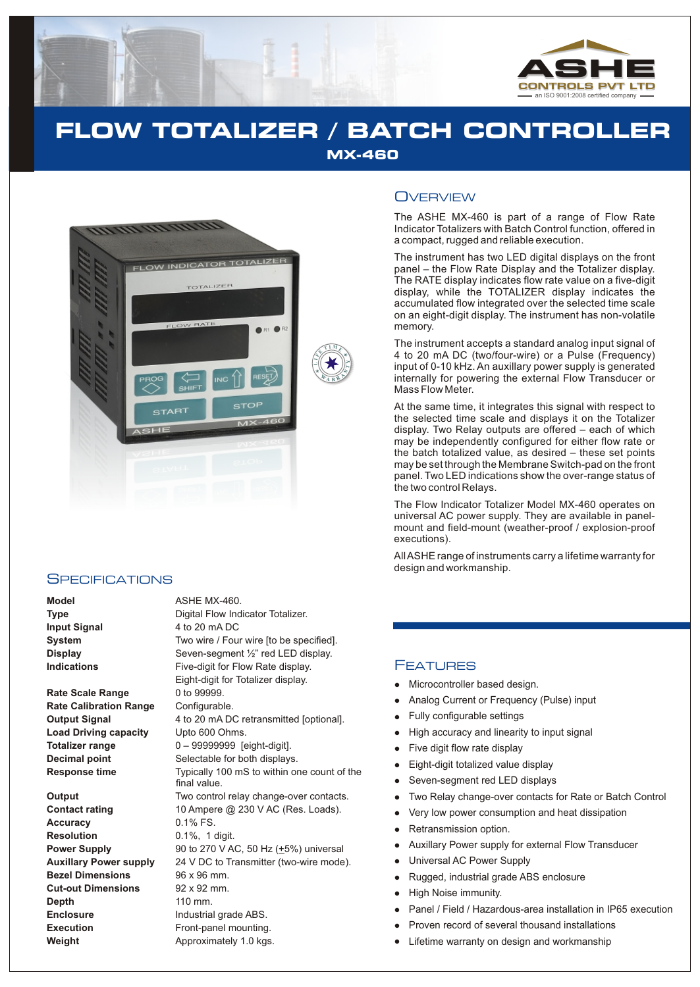

**E**

# **FLOW TOTALIZER / BATCH CONTROLLER MX-460**



#### **SPECIFICATIONS**

**Model** ASHE MX-460.

**Rate Scale Range** 0 to 99999. **Rate Calibration Range** Configurable. Load Driving capacity Upto 600 Ohms.

**Accuracy** 0.1% FS. **Resolution** 0.1%, 1 digit. **Bezel Dimensions** 96 x 96 mm. **Cut-out Dimensions** 92 x 92 mm. **Depth** 110 mm. **Enclosure** Industrial grade ABS. **Execution** Front-panel mounting.

**Type** Digital Flow Indicator Totalizer. **Input Signal** 4 to 20 mA DC **System** Two wire / Four wire [to be specified]. **Display** Seven-segment <sup>1/2</sup> red LED display. **Indications** Five-digit for Flow Rate display. Eight-digit for Totalizer display. **Output Signal** 4 to 20 mA DC retransmitted [optional]. **Totalizer range** 0 – 99999999 [eight-digit]. **Decimal point** Selectable for both displays. **Response time** Typically 100 mS to within one count of the final value. **Output** Two control relay change-over contacts. **Contact rating** 10 Ampere @ 230 V AC (Res. Loads). **Power Supply** 90 to 270 V AC, 50 Hz ( $\pm$ 5%) universal **Auxillary Power supply** 24 V DC to Transmitter (two-wire mode). **Weight Approximately 1.0 kgs.** 

### **OVERVIEW**

The ASHE MX-460 is part of a range of Flow Rate Indicator Totalizers with Batch Control function, offered in a compact, rugged and reliable execution.

The instrument has two LED digital displays on the front panel – the Flow Rate Display and the Totalizer display. The RATE display indicates flow rate value on a five-digit display, while the TOTALIZER display indicates the accumulated flow integrated over the selected time scale on an eight-digit display. The instrument has non-volatile memory.

The instrument accepts a standard analog input signal of 4 to 20 mA DC (two/four-wire) or a Pulse (Frequency) input of 0-10 kHz. An auxillary power supply is generated internally for powering the external Flow Transducer or Mass Flow Meter.

At the same time, it integrates this signal with respect to the selected time scale and displays it on the Totalizer display. Two Relay outputs are offered – each of which may be independently configured for either flow rate or the batch totalized value, as desired – these set points may be set through the Membrane Switch-pad on the front panel. Two LED indications show the over-range status of the two control Relays.

The Flow Indicator Totalizer Model MX-460 operates on universal AC power supply. They are available in panelmount and field-mount (weather-proof / explosion-proof executions).

All ASHE range of instruments carry a lifetime warranty for design and workmanship.

#### FEATURES

- Microcontroller based design.
- Analog Current or Frequency (Pulse) input
- Fully configurable settings
- High accuracy and linearity to input signal
- Five digit flow rate display
- Eight-digit totalized value display
- Seven-segment red LED displays
- Two Relay change-over contacts for Rate or Batch Control
- Very low power consumption and heat dissipation
- Retransmission option.
- Auxillary Power supply for external Flow Transducer
- Universal AC Power Supply
- llllellands and Fully High Five Eighter Severy Company Company Company Company Company Company Company Company<br>Lighter Auxi Univery Company Provession Fighter Provession Provession Company Company Company Company Company<br>C Rugged, industrial grade ABS enclosure
- High Noise immunity.
- Panel / Field / Hazardous-area installation in IP65 execution
- Proven record of several thousand installations
- Lifetime warranty on design and workmanship